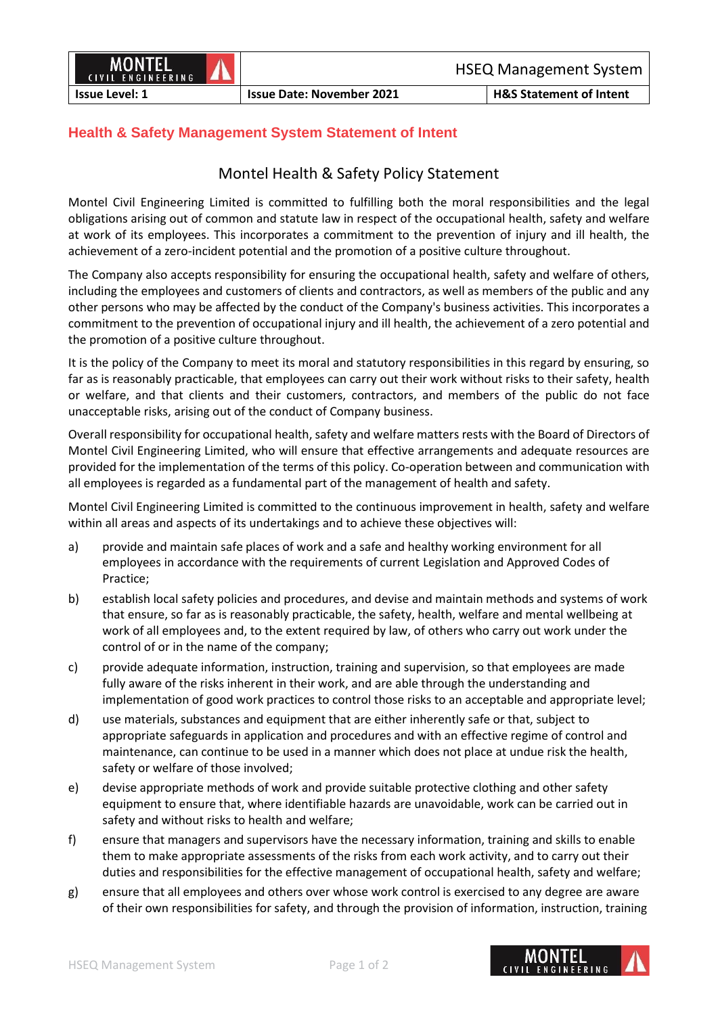**MONTEL** CIVIL ENGINEERING

## **Health & Safety Management System Statement of Intent**

## Montel Health & Safety Policy Statement

Montel Civil Engineering Limited is committed to fulfilling both the moral responsibilities and the legal obligations arising out of common and statute law in respect of the occupational health, safety and welfare at work of its employees. This incorporates a commitment to the prevention of injury and ill health, the achievement of a zero-incident potential and the promotion of a positive culture throughout.

The Company also accepts responsibility for ensuring the occupational health, safety and welfare of others, including the employees and customers of clients and contractors, as well as members of the public and any other persons who may be affected by the conduct of the Company's business activities. This incorporates a commitment to the prevention of occupational injury and ill health, the achievement of a zero potential and the promotion of a positive culture throughout.

It is the policy of the Company to meet its moral and statutory responsibilities in this regard by ensuring, so far as is reasonably practicable, that employees can carry out their work without risks to their safety, health or welfare, and that clients and their customers, contractors, and members of the public do not face unacceptable risks, arising out of the conduct of Company business.

Overall responsibility for occupational health, safety and welfare matters rests with the Board of Directors of Montel Civil Engineering Limited, who will ensure that effective arrangements and adequate resources are provided for the implementation of the terms of this policy. Co-operation between and communication with all employees is regarded as a fundamental part of the management of health and safety.

Montel Civil Engineering Limited is committed to the continuous improvement in health, safety and welfare within all areas and aspects of its undertakings and to achieve these objectives will:

- a) provide and maintain safe places of work and a safe and healthy working environment for all employees in accordance with the requirements of current Legislation and Approved Codes of Practice;
- b) establish local safety policies and procedures, and devise and maintain methods and systems of work that ensure, so far as is reasonably practicable, the safety, health, welfare and mental wellbeing at work of all employees and, to the extent required by law, of others who carry out work under the control of or in the name of the company;
- c) provide adequate information, instruction, training and supervision, so that employees are made fully aware of the risks inherent in their work, and are able through the understanding and implementation of good work practices to control those risks to an acceptable and appropriate level;
- d) use materials, substances and equipment that are either inherently safe or that, subject to appropriate safeguards in application and procedures and with an effective regime of control and maintenance, can continue to be used in a manner which does not place at undue risk the health, safety or welfare of those involved;
- e) devise appropriate methods of work and provide suitable protective clothing and other safety equipment to ensure that, where identifiable hazards are unavoidable, work can be carried out in safety and without risks to health and welfare;
- f) ensure that managers and supervisors have the necessary information, training and skills to enable them to make appropriate assessments of the risks from each work activity, and to carry out their duties and responsibilities for the effective management of occupational health, safety and welfare;
- g) ensure that all employees and others over whose work control is exercised to any degree are aware of their own responsibilities for safety, and through the provision of information, instruction, training